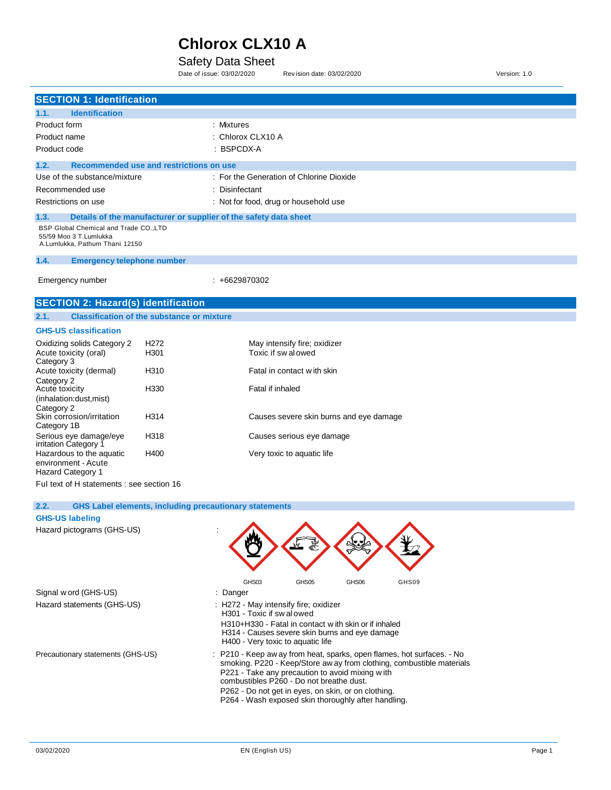### Safety Data Sheet

Date of issue: 03/02/2020 Rev ision date: 03/02/2020 Version: 1.0

| <b>SECTION 1: Identification</b>                                                                   |                                                   |                                                                  |
|----------------------------------------------------------------------------------------------------|---------------------------------------------------|------------------------------------------------------------------|
|                                                                                                    |                                                   |                                                                  |
| <b>Identification</b><br>1.1.                                                                      |                                                   |                                                                  |
| Product form                                                                                       |                                                   | : Mixtures                                                       |
| Product name                                                                                       |                                                   | Chlorox CLX10 A                                                  |
| Product code                                                                                       |                                                   | : BSPCDX-A                                                       |
| 1.2.                                                                                               | Recommended use and restrictions on use           |                                                                  |
| Use of the substance/mixture                                                                       |                                                   | : For the Generation of Chlorine Dioxide                         |
| Recommended use                                                                                    |                                                   | Disinfectant                                                     |
| Restrictions on use                                                                                |                                                   | : Not for food, drug or household use                            |
| 1.3.                                                                                               |                                                   | Details of the manufacturer or supplier of the safety data sheet |
| BSP Global Chemical and Trade CO., LTD<br>55/59 Moo 3 T.Lumlukka<br>A.Lumlukka, Pathum Thani 12150 |                                                   |                                                                  |
| 1.4.<br><b>Emergency telephone number</b>                                                          |                                                   |                                                                  |
|                                                                                                    |                                                   |                                                                  |
| Emergency number                                                                                   |                                                   | $: +6629870302$                                                  |
| <b>SECTION 2: Hazard(s) identification</b>                                                         |                                                   |                                                                  |
| 2.1.                                                                                               | <b>Classification of the substance or mixture</b> |                                                                  |
| <b>GHS-US classification</b>                                                                       |                                                   |                                                                  |
| Oxidizing solids Category 2                                                                        | H <sub>272</sub>                                  | May intensify fire; oxidizer                                     |
| Acute toxicity (oral)<br>Category 3                                                                | H301                                              | Toxic if swalowed                                                |
| Acute toxicity (dermal)                                                                            | H310                                              | Fatal in contact w ith skin                                      |
| Category 2<br>Acute toxicity<br>(inhalation:dust, mist)                                            | H330                                              | Fatal if inhaled                                                 |
| Category 2<br>Skin corrosion/irritation<br>Category 1B                                             | H314                                              | Causes severe skin burns and eye damage                          |
| Serious eye damage/eye<br>irritation Category 1                                                    | H318                                              | Causes serious eye damage                                        |
| Hazardous to the aquatic<br>environment - Acute                                                    | H400                                              | Very toxic to aquatic life                                       |

Ful text of H statements : see section 16

Hazard Category 1

| <b>GHS Label elements, including precautionary statements</b><br>2.2. |                                                                                                                                                                                                                                                                                                                                                              |
|-----------------------------------------------------------------------|--------------------------------------------------------------------------------------------------------------------------------------------------------------------------------------------------------------------------------------------------------------------------------------------------------------------------------------------------------------|
| <b>GHS-US labeling</b>                                                |                                                                                                                                                                                                                                                                                                                                                              |
| Hazard pictograms (GHS-US)                                            |                                                                                                                                                                                                                                                                                                                                                              |
|                                                                       | GHS03<br>GHS <sub>05</sub><br>GHS06<br>GHS09                                                                                                                                                                                                                                                                                                                 |
| Signal w ord (GHS-US)                                                 | : Danger                                                                                                                                                                                                                                                                                                                                                     |
| Hazard statements (GHS-US)                                            | : H272 - May intensify fire; oxidizer<br>H301 - Toxic if swalowed<br>H310+H330 - Fatal in contact with skin or if inhaled<br>H314 - Causes severe skin burns and eye damage<br>H400 - Very toxic to aquatic life                                                                                                                                             |
| Precautionary statements (GHS-US)                                     | : P210 - Keep aw ay from heat, sparks, open flames, hot surfaces. - No<br>smoking. P220 - Keep/Store aw ay from clothing, combustible materials<br>P221 - Take any precaution to avoid mixing with<br>combustibles P260 - Do not breathe dust.<br>P262 - Do not get in eyes, on skin, or on clothing.<br>P264 - Wash exposed skin thoroughly after handling. |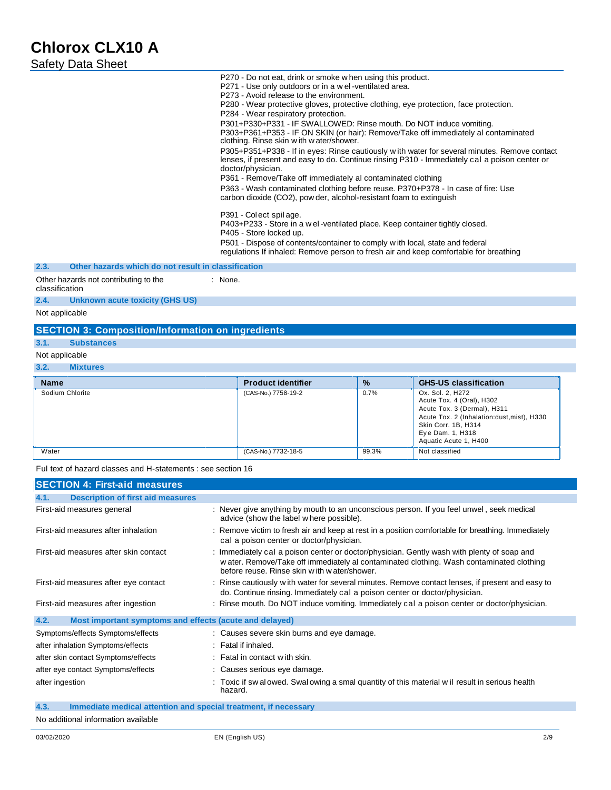| <b>Name</b>     | <b>Product identifier</b> | $\frac{9}{6}$ | <b>GHS-US classification</b>                                                                                                                                                                   |
|-----------------|---------------------------|---------------|------------------------------------------------------------------------------------------------------------------------------------------------------------------------------------------------|
| Sodium Chlorite | (CAS-No.) 7758-19-2       | 0.7%          | Ox. Sol. 2. H272<br>Acute Tox. 4 (Oral), H302<br>Acute Tox. 3 (Dermal), H311<br>Acute Tox. 2 (Inhalation:dust, mist), H330<br>Skin Corr. 1B, H314<br>Eye Dam. 1, H318<br>Aquatic Acute 1, H400 |
| Water           | (CAS-No.) 7732-18-5       | 99.3%         | Not classified                                                                                                                                                                                 |

Ful text of hazard classes and H-statements : see section 16

| SECTION 4: First-aid measures                                   |                                                                                                                                                                                                                                       |
|-----------------------------------------------------------------|---------------------------------------------------------------------------------------------------------------------------------------------------------------------------------------------------------------------------------------|
| <b>Description of first aid measures</b><br>4.1.                |                                                                                                                                                                                                                                       |
| First-aid measures general                                      | : Never give anything by mouth to an unconscious person. If you feel unwel, seek medical<br>advice (show the label where possible).                                                                                                   |
| First-aid measures after inhalation                             | : Remove victim to fresh air and keep at rest in a position comfortable for breathing. Immediately<br>cal a poison center or doctor/physician.                                                                                        |
| First-aid measures after skin contact                           | : Immediately cal a poison center or doctor/physician. Gently wash with plenty of soap and<br>w ater. Remove/Take off immediately al contaminated clothing. Wash contaminated clothing<br>before reuse. Rinse skin with water/shower. |
| First-aid measures after eye contact                            | : Rinse cautiously with water for several minutes. Remove contact lenses, if present and easy to<br>do. Continue rinsing. Immediately cal a poison center or doctor/physician.                                                        |
| First-aid measures after ingestion                              | : Rinse mouth. Do NOT induce vomiting. Immediately cal a poison center or doctor/physician.                                                                                                                                           |
| 4.2.<br>Most important symptoms and effects (acute and delayed) |                                                                                                                                                                                                                                       |
| Symptoms/effects Symptoms/effects                               | : Causes severe skin burns and eye damage.                                                                                                                                                                                            |
| after inhalation Symptoms/effects                               | : Fatal if inhaled.                                                                                                                                                                                                                   |
| after skin contact Symptoms/effects                             | : Fatal in contact with skin.                                                                                                                                                                                                         |
| after eye contact Symptoms/effects                              | : Causes serious eye damage.                                                                                                                                                                                                          |
| after ingestion                                                 | : Toxic if sw alowed. Swalowing a smal quantity of this material w il result in serious health<br>hazard.                                                                                                                             |

**4.3. Immediate medical attention and special treatment, if necessary** 

No additional information available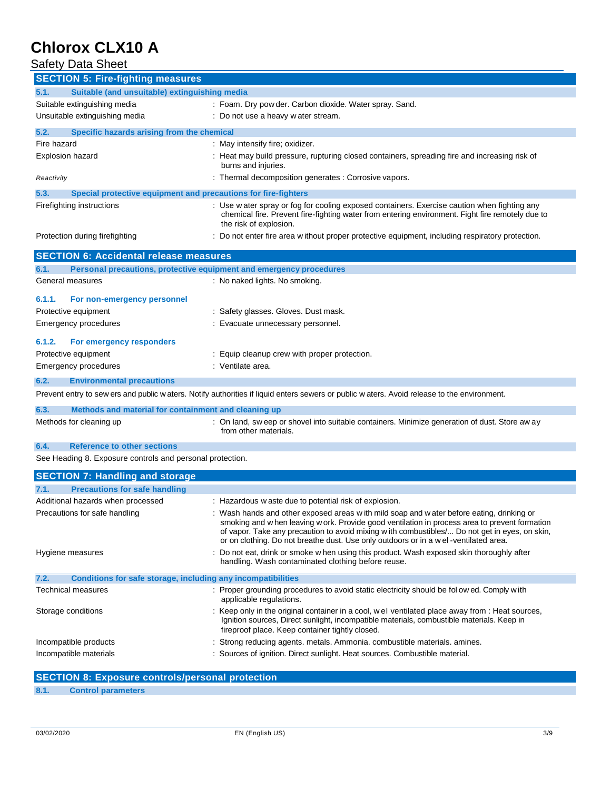### **Safety Data Sheet**

| <b>SECTION 5: Fire-fighting measures</b>                                    |                                                                                                                                                                                                                                                                                        |  |  |
|-----------------------------------------------------------------------------|----------------------------------------------------------------------------------------------------------------------------------------------------------------------------------------------------------------------------------------------------------------------------------------|--|--|
| Suitable (and unsuitable) extinguishing media<br>5.1.                       |                                                                                                                                                                                                                                                                                        |  |  |
| Suitable extinguishing media                                                | : Foam. Dry pow der. Carbon dioxide. Water spray. Sand.                                                                                                                                                                                                                                |  |  |
| Unsuitable extinguishing media                                              | : Do not use a heavy w ater stream.                                                                                                                                                                                                                                                    |  |  |
| 5.2.<br>Specific hazards arising from the chemical                          |                                                                                                                                                                                                                                                                                        |  |  |
| Fire hazard                                                                 | : May intensify fire; oxidizer.                                                                                                                                                                                                                                                        |  |  |
| Explosion hazard                                                            | : Heat may build pressure, rupturing closed containers, spreading fire and increasing risk of                                                                                                                                                                                          |  |  |
|                                                                             | burns and injuries.                                                                                                                                                                                                                                                                    |  |  |
| Reactivity                                                                  | : Thermal decomposition generates : Corrosive vapors.                                                                                                                                                                                                                                  |  |  |
| 5.3.<br>Special protective equipment and precautions for fire-fighters      |                                                                                                                                                                                                                                                                                        |  |  |
| Firefighting instructions                                                   | : Use water spray or fog for cooling exposed containers. Exercise caution when fighting any<br>chemical fire. Prevent fire-fighting water from entering environment. Fight fire remotely due to<br>the risk of explosion.                                                              |  |  |
| Protection during firefighting                                              | : Do not enter fire area without proper protective equipment, including respiratory protection.                                                                                                                                                                                        |  |  |
| <b>SECTION 6: Accidental release measures</b>                               |                                                                                                                                                                                                                                                                                        |  |  |
| 6.1.<br>Personal precautions, protective equipment and emergency procedures |                                                                                                                                                                                                                                                                                        |  |  |
| General measures                                                            | : No naked lights. No smoking.                                                                                                                                                                                                                                                         |  |  |
|                                                                             |                                                                                                                                                                                                                                                                                        |  |  |
| 6.1.1.<br>For non-emergency personnel<br>Protective equipment               | : Safety glasses. Gloves. Dust mask.                                                                                                                                                                                                                                                   |  |  |
|                                                                             |                                                                                                                                                                                                                                                                                        |  |  |
| <b>Emergency procedures</b>                                                 | : Evacuate unnecessary personnel.                                                                                                                                                                                                                                                      |  |  |
| 6.1.2.<br>For emergency responders                                          |                                                                                                                                                                                                                                                                                        |  |  |
| Protective equipment                                                        | : Equip cleanup crew with proper protection.                                                                                                                                                                                                                                           |  |  |
| <b>Emergency procedures</b>                                                 | : Ventilate area.                                                                                                                                                                                                                                                                      |  |  |
| 6.2.<br><b>Environmental precautions</b>                                    |                                                                                                                                                                                                                                                                                        |  |  |
|                                                                             | Prevent entry to sew ers and public waters. Notify authorities if liquid enters sewers or public waters. Avoid release to the environment.                                                                                                                                             |  |  |
| 6.3.<br>Methods and material for containment and cleaning up                |                                                                                                                                                                                                                                                                                        |  |  |
| Methods for cleaning up                                                     | : On land, sweep or shovel into suitable containers. Minimize generation of dust. Store aw ay<br>from other materials.                                                                                                                                                                 |  |  |
| 6.4.<br><b>Reference to other sections</b>                                  |                                                                                                                                                                                                                                                                                        |  |  |
| See Heading 8. Exposure controls and personal protection.                   |                                                                                                                                                                                                                                                                                        |  |  |
| <b>SECTION 7: Handling and storage</b>                                      |                                                                                                                                                                                                                                                                                        |  |  |
| <b>Precautions for safe handling</b><br>7.1.                                |                                                                                                                                                                                                                                                                                        |  |  |
| Additional hazards when processed                                           | : Hazardous w aste due to potential risk of explosion.                                                                                                                                                                                                                                 |  |  |
| Precautions for safe handling                                               | : Wash hands and other exposed areas with mild soap and water before eating, drinking or                                                                                                                                                                                               |  |  |
|                                                                             | smoking and w hen leaving w ork. Provide good ventilation in process area to prevent formation<br>of vapor. Take any precaution to avoid mixing with combustibles/ Do not get in eyes, on skin,<br>or on clothing. Do not breathe dust. Use only outdoors or in a wel-ventilated area. |  |  |
| Hygiene measures                                                            | : Do not eat, drink or smoke w hen using this product. Wash exposed skin thoroughly after<br>handling. Wash contaminated clothing before reuse.                                                                                                                                        |  |  |
| 7.2.                                                                        | Conditions for safe storage, including any incompatibilities                                                                                                                                                                                                                           |  |  |
| Technical measures                                                          | : Proper grounding procedures to avoid static electricity should be fol ow ed. Comply with<br>applicable regulations.                                                                                                                                                                  |  |  |
| Storage conditions                                                          | : Keep only in the original container in a cool, wel ventilated place away from : Heat sources,<br>Ignition sources, Direct sunlight, incompatible materials, combustible materials. Keep in<br>fireproof place. Keep container tightly closed.                                        |  |  |
| Incompatible products                                                       | : Strong reducing agents. metals. Ammonia. combustible materials. amines.                                                                                                                                                                                                              |  |  |
| Incompatible materials                                                      | : Sources of ignition. Direct sunlight. Heat sources. Combustible material.                                                                                                                                                                                                            |  |  |

### **SECTION 8: Exposure controls/personal protection**

### **8.1. Control parameters**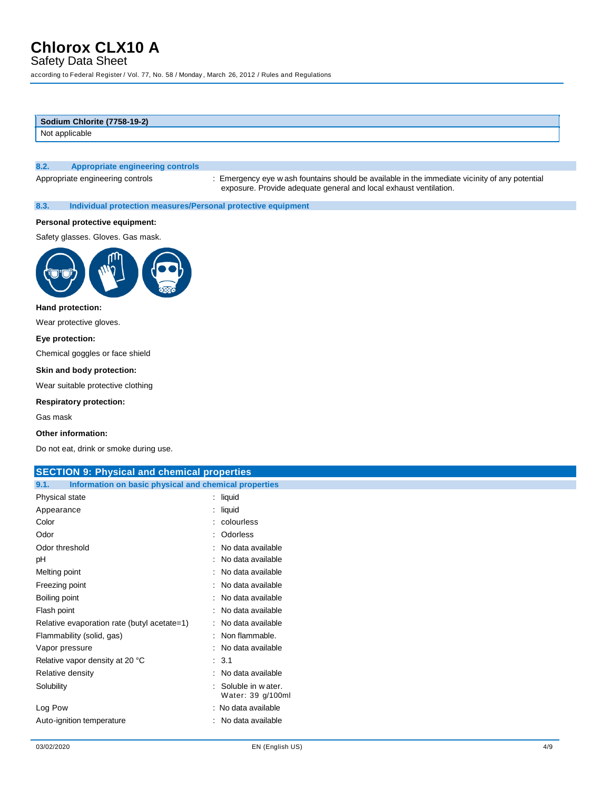Safety Data Sheet

according to Federal Register / Vol. 77, No. 58 / Monday , March 26, 2012 / Rules and Regulations

| Sodium Chlorite (7758-19-2) |  |
|-----------------------------|--|
| Not applicable              |  |
|                             |  |
|                             |  |

### **8.2. Appropriate engineering controls**

Appropriate engineering controls : Emergency eye w ash fountains should be available in the immediate vicinity of any potential exposure. Provide adequate general and local exhaust ventilation.

**8.3. Individual protection measures/Personal protective equipment** 

#### **Personal protective equipment:**

Safety glasses. Gloves. Gas mask.



#### **Hand protection:**

Wear protective gloves.

#### **Eye protection:**

Chemical goggles or face shield

#### **Skin and body protection:**

Wear suitable protective clothing

#### **Respiratory protection:**

Gas mask

#### **Other information:**

Do not eat, drink or smoke during use.

| <b>SECTION 9: Physical and chemical properties</b>            |                                        |  |
|---------------------------------------------------------------|----------------------------------------|--|
| Information on basic physical and chemical properties<br>9.1. |                                        |  |
| Physical state                                                | $:$ liquid                             |  |
| Appearance                                                    | $:$ liquid                             |  |
| Color                                                         | : colourless                           |  |
| Odor                                                          | : Odorless                             |  |
| Odor threshold                                                | : No data available                    |  |
| pH                                                            | : No data available                    |  |
| Melting point                                                 | : No data available                    |  |
| Freezing point                                                | : No data available                    |  |
| Boiling point                                                 | : No data available                    |  |
| Flash point                                                   | : No data available                    |  |
| Relative evaporation rate (butyl acetate=1)                   | : No data available                    |  |
| Flammability (solid, gas)                                     | : Non flammable.                       |  |
| Vapor pressure                                                | : No data available                    |  |
| Relative vapor density at 20 °C                               | : 3.1                                  |  |
| Relative density                                              | : No data available                    |  |
| Solubility                                                    | Soluble in water.<br>Water: 39 g/100ml |  |
| Log Pow                                                       | : No data available                    |  |
| Auto-ignition temperature                                     | : No data available                    |  |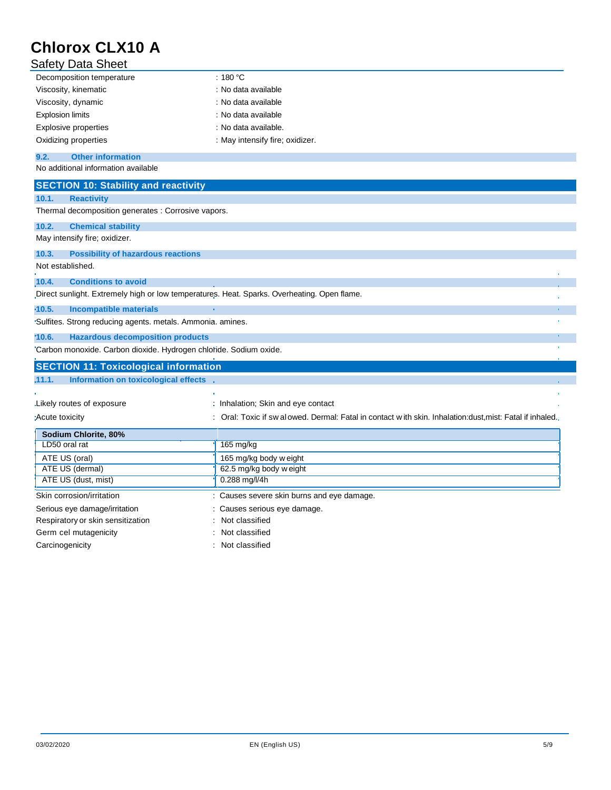| <b>Safety Data Sheet</b>  |                                 |  |
|---------------------------|---------------------------------|--|
| Decomposition temperature | : 180 °C                        |  |
| Viscosity, kinematic      | : No data available             |  |
| Viscosity, dynamic        | : No data available             |  |
| <b>Explosion limits</b>   | : No data available             |  |
| Explosive properties      | : No data available.            |  |
| Oxidizing properties      | : May intensify fire; oxidizer. |  |
|                           |                                 |  |

#### **9.2. Other information**

No additional information available

| <b>SECTION 10: Stability and reactivity</b>                                                 |                                                                                                           |  |
|---------------------------------------------------------------------------------------------|-----------------------------------------------------------------------------------------------------------|--|
| <b>Reactivity</b><br>10.1.                                                                  |                                                                                                           |  |
| Thermal decomposition generates : Corrosive vapors.                                         |                                                                                                           |  |
| 10.2.<br><b>Chemical stability</b>                                                          |                                                                                                           |  |
| May intensify fire; oxidizer.                                                               |                                                                                                           |  |
| <b>Possibility of hazardous reactions</b><br>10.3.                                          |                                                                                                           |  |
| Not established.                                                                            |                                                                                                           |  |
| <b>Conditions to avoid</b><br>10.4.                                                         |                                                                                                           |  |
| Direct sunlight. Extremely high or low temperatures. Heat. Sparks. Overheating. Open flame. |                                                                                                           |  |
| $-10.5.$<br><b>Incompatible materials</b>                                                   |                                                                                                           |  |
| 'Sulfites. Strong reducing agents. metals. Ammonia. amines.                                 |                                                                                                           |  |
| 10.6.<br><b>Hazardous decomposition products</b>                                            |                                                                                                           |  |
| 'Carbon monoxide. Carbon dioxide. Hydrogen chloride. Sodium oxide.                          |                                                                                                           |  |
|                                                                                             |                                                                                                           |  |
| <b>SECTION 11: Toxicological information</b>                                                |                                                                                                           |  |
| Information on toxicological effects<br>.11.1.                                              |                                                                                                           |  |
|                                                                                             |                                                                                                           |  |
| Likely routes of exposure                                                                   | : Inhalation; Skin and eye contact                                                                        |  |
| :Acute toxicity                                                                             | : Oral: Toxic if sw al owed. Dermal: Fatal in contact with skin. Inhalation:dust,mist: Fatal if inhaled., |  |
| Sodium Chlorite, 80%                                                                        |                                                                                                           |  |
| LD50 oral rat                                                                               | $165$ mg/kg                                                                                               |  |
| ATE US (oral)                                                                               | 165 mg/kg body w eight                                                                                    |  |
| ATE US (dermal)                                                                             | 62.5 mg/kg body w eight                                                                                   |  |
| ATE US (dust, mist)                                                                         | 0.288 mg/l/4h                                                                                             |  |
| Skin corrosion/irritation                                                                   | : Causes severe skin burns and eye damage.                                                                |  |
| Serious eye damage/irritation                                                               | Causes serious eye damage.                                                                                |  |
| Respiratory or skin sensitization                                                           | Not classified                                                                                            |  |

Carcinogenicity **Carcinogenicity Carcinogenicity Carcial Carcial Carcial Carcial Carcial Carcial Carcial Carcial Carcial Carcial Carcial Carcial Carcial Carcial Carcial Carcial Carcial Carcial Carcial Carcial Carcial C**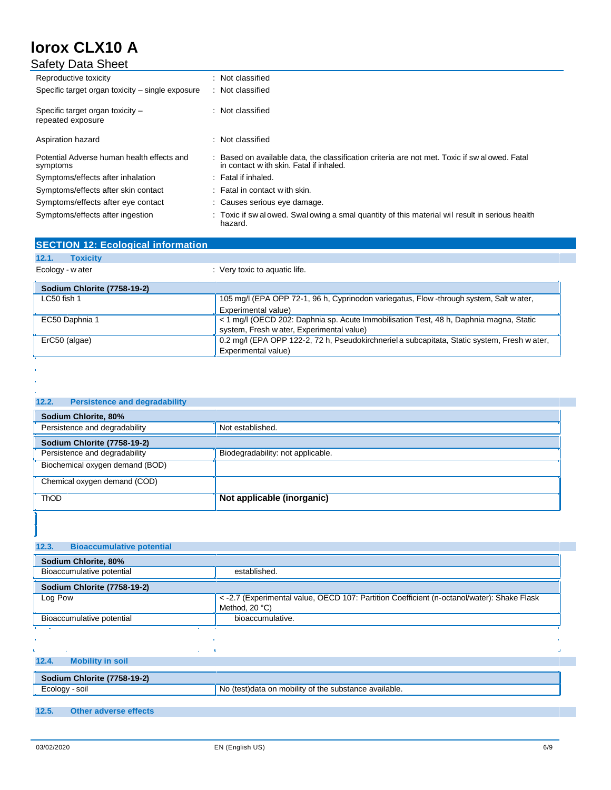| <b>Safety Data Sheet</b>                               |                                                                                                                                           |
|--------------------------------------------------------|-------------------------------------------------------------------------------------------------------------------------------------------|
| Reproductive toxicity                                  | : Not classified                                                                                                                          |
| Specific target organ toxicity – single exposure       | : Not classified                                                                                                                          |
| Specific target organ toxicity -<br>repeated exposure  | : Not classified                                                                                                                          |
| Aspiration hazard                                      | : Not classified                                                                                                                          |
| Potential Adverse human health effects and<br>symptoms | : Based on available data, the classification criteria are not met. Toxic if sw al owed. Fatal<br>in contact with skin. Fatal if inhaled. |
| Symptoms/effects after inhalation                      | : Fatal if inhaled.                                                                                                                       |
| Symptoms/effects after skin contact                    | $\therefore$ Fatal in contact with skin.                                                                                                  |
| Symptoms/effects after eye contact                     | : Causes serious eye damage.                                                                                                              |
| Symptoms/effects after ingestion                       | : Toxic if sw alowed. Swalowing a smal quantity of this material wil result in serious health<br>hazard.                                  |

| <b>SECTION 12: Ecological information</b> |                                                                                              |
|-------------------------------------------|----------------------------------------------------------------------------------------------|
| <b>Toxicity</b><br>12.1.                  |                                                                                              |
| Ecology - w ater                          | : Very toxic to aquatic life.                                                                |
| <b>Sodium Chlorite (7758-19-2)</b>        |                                                                                              |
| $LC50$ fish 1                             | 105 mg/l (EPA OPP 72-1, 96 h, Cyprinodon variegatus, Flow -through system, Salt w ater,      |
|                                           | Experimental value)                                                                          |
| EC50 Daphnia 1                            | <1 mg/l (OECD 202: Daphnia sp. Acute Immobilisation Test, 48 h, Daphnia magna, Static        |
|                                           | system, Fresh w ater, Experimental value)                                                    |
| ErC50 (algae)                             | 0.2 mg/l (EPA OPP 122-2, 72 h, Pseudokirchneriel a subcapitata, Static system, Fresh w ater, |
|                                           | Experimental value)                                                                          |

| 12.2.<br><b>Persistence and degradability</b> |                                   |  |
|-----------------------------------------------|-----------------------------------|--|
| Sodium Chlorite, 80%                          |                                   |  |
| Persistence and degradability                 | Not established.                  |  |
| <b>Sodium Chlorite (7758-19-2)</b>            |                                   |  |
| Persistence and degradability                 | Biodegradability: not applicable. |  |
| Biochemical oxygen demand (BOD)               |                                   |  |
| Chemical oxygen demand (COD)                  |                                   |  |
| <b>ThOD</b>                                   | Not applicable (inorganic)        |  |

| 12.3.<br><b>Bioaccumulative potential</b> |                                                                                            |
|-------------------------------------------|--------------------------------------------------------------------------------------------|
| Sodium Chlorite, 80%                      |                                                                                            |
| Bioaccumulative potential                 | established.                                                                               |
| Sodium Chlorite (7758-19-2)               |                                                                                            |
| Log Pow                                   | < -2.7 (Experimental value, OECD 107: Partition Coefficient (n-octanol/water): Shake Flask |
|                                           | Method, $20^{\circ}$ C)                                                                    |
| Bioaccumulative potential                 | bioaccumulative.                                                                           |
| <b>Contract Contract</b>                  |                                                                                            |
| ٠                                         |                                                                                            |
| <b>Service</b>                            |                                                                                            |
| 12.4.<br><b>Mobility in soil</b>          |                                                                                            |
| Sodium Chlorite (7758-19-2)               |                                                                                            |
| Ecology - soil                            | No (test) data on mobility of the substance available.                                     |

### **12.5. Other adverse effects**

ï l.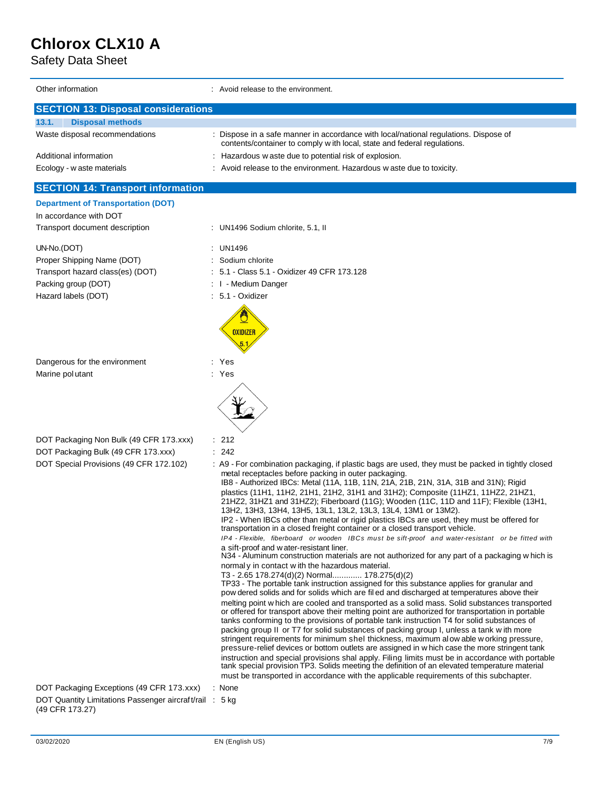Safety Data Sheet

| Other information                                                                                    | : Avoid release to the environment.                                                                                                                                                                                                                                                                                                                                                                                                                                                                                                                                                                                                                                                                                                                                                                                                                                                                                                                                                                                                                                                                                                                                                                                                                                                                                                                                                                                                                                                                                                                                                                                                                                                                                                                                                                                                                                                                                                                                                                                                                                                                                      |  |  |
|------------------------------------------------------------------------------------------------------|--------------------------------------------------------------------------------------------------------------------------------------------------------------------------------------------------------------------------------------------------------------------------------------------------------------------------------------------------------------------------------------------------------------------------------------------------------------------------------------------------------------------------------------------------------------------------------------------------------------------------------------------------------------------------------------------------------------------------------------------------------------------------------------------------------------------------------------------------------------------------------------------------------------------------------------------------------------------------------------------------------------------------------------------------------------------------------------------------------------------------------------------------------------------------------------------------------------------------------------------------------------------------------------------------------------------------------------------------------------------------------------------------------------------------------------------------------------------------------------------------------------------------------------------------------------------------------------------------------------------------------------------------------------------------------------------------------------------------------------------------------------------------------------------------------------------------------------------------------------------------------------------------------------------------------------------------------------------------------------------------------------------------------------------------------------------------------------------------------------------------|--|--|
| <b>SECTION 13: Disposal considerations</b>                                                           |                                                                                                                                                                                                                                                                                                                                                                                                                                                                                                                                                                                                                                                                                                                                                                                                                                                                                                                                                                                                                                                                                                                                                                                                                                                                                                                                                                                                                                                                                                                                                                                                                                                                                                                                                                                                                                                                                                                                                                                                                                                                                                                          |  |  |
| 13.1.<br><b>Disposal methods</b>                                                                     |                                                                                                                                                                                                                                                                                                                                                                                                                                                                                                                                                                                                                                                                                                                                                                                                                                                                                                                                                                                                                                                                                                                                                                                                                                                                                                                                                                                                                                                                                                                                                                                                                                                                                                                                                                                                                                                                                                                                                                                                                                                                                                                          |  |  |
| Waste disposal recommendations                                                                       | : Dispose in a safe manner in accordance with local/national regulations. Dispose of<br>contents/container to comply with local, state and federal regulations.                                                                                                                                                                                                                                                                                                                                                                                                                                                                                                                                                                                                                                                                                                                                                                                                                                                                                                                                                                                                                                                                                                                                                                                                                                                                                                                                                                                                                                                                                                                                                                                                                                                                                                                                                                                                                                                                                                                                                          |  |  |
| Additional information                                                                               | : Hazardous w aste due to potential risk of explosion.                                                                                                                                                                                                                                                                                                                                                                                                                                                                                                                                                                                                                                                                                                                                                                                                                                                                                                                                                                                                                                                                                                                                                                                                                                                                                                                                                                                                                                                                                                                                                                                                                                                                                                                                                                                                                                                                                                                                                                                                                                                                   |  |  |
| Ecology - w aste materials                                                                           | : Avoid release to the environment. Hazardous w aste due to toxicity.                                                                                                                                                                                                                                                                                                                                                                                                                                                                                                                                                                                                                                                                                                                                                                                                                                                                                                                                                                                                                                                                                                                                                                                                                                                                                                                                                                                                                                                                                                                                                                                                                                                                                                                                                                                                                                                                                                                                                                                                                                                    |  |  |
| <b>SECTION 14: Transport information</b>                                                             |                                                                                                                                                                                                                                                                                                                                                                                                                                                                                                                                                                                                                                                                                                                                                                                                                                                                                                                                                                                                                                                                                                                                                                                                                                                                                                                                                                                                                                                                                                                                                                                                                                                                                                                                                                                                                                                                                                                                                                                                                                                                                                                          |  |  |
| <b>Department of Transportation (DOT)</b>                                                            |                                                                                                                                                                                                                                                                                                                                                                                                                                                                                                                                                                                                                                                                                                                                                                                                                                                                                                                                                                                                                                                                                                                                                                                                                                                                                                                                                                                                                                                                                                                                                                                                                                                                                                                                                                                                                                                                                                                                                                                                                                                                                                                          |  |  |
| In accordance with DOT<br>Transport document description                                             | : UN1496 Sodium chlorite, 5.1, II                                                                                                                                                                                                                                                                                                                                                                                                                                                                                                                                                                                                                                                                                                                                                                                                                                                                                                                                                                                                                                                                                                                                                                                                                                                                                                                                                                                                                                                                                                                                                                                                                                                                                                                                                                                                                                                                                                                                                                                                                                                                                        |  |  |
|                                                                                                      |                                                                                                                                                                                                                                                                                                                                                                                                                                                                                                                                                                                                                                                                                                                                                                                                                                                                                                                                                                                                                                                                                                                                                                                                                                                                                                                                                                                                                                                                                                                                                                                                                                                                                                                                                                                                                                                                                                                                                                                                                                                                                                                          |  |  |
| UN-No.(DOT)                                                                                          | : UN1496                                                                                                                                                                                                                                                                                                                                                                                                                                                                                                                                                                                                                                                                                                                                                                                                                                                                                                                                                                                                                                                                                                                                                                                                                                                                                                                                                                                                                                                                                                                                                                                                                                                                                                                                                                                                                                                                                                                                                                                                                                                                                                                 |  |  |
| Proper Shipping Name (DOT)                                                                           | Sodium chlorite                                                                                                                                                                                                                                                                                                                                                                                                                                                                                                                                                                                                                                                                                                                                                                                                                                                                                                                                                                                                                                                                                                                                                                                                                                                                                                                                                                                                                                                                                                                                                                                                                                                                                                                                                                                                                                                                                                                                                                                                                                                                                                          |  |  |
| Transport hazard class(es) (DOT)                                                                     | 5.1 - Class 5.1 - Oxidizer 49 CFR 173.128                                                                                                                                                                                                                                                                                                                                                                                                                                                                                                                                                                                                                                                                                                                                                                                                                                                                                                                                                                                                                                                                                                                                                                                                                                                                                                                                                                                                                                                                                                                                                                                                                                                                                                                                                                                                                                                                                                                                                                                                                                                                                |  |  |
| Packing group (DOT)                                                                                  | : I - Medium Danger                                                                                                                                                                                                                                                                                                                                                                                                                                                                                                                                                                                                                                                                                                                                                                                                                                                                                                                                                                                                                                                                                                                                                                                                                                                                                                                                                                                                                                                                                                                                                                                                                                                                                                                                                                                                                                                                                                                                                                                                                                                                                                      |  |  |
| Hazard labels (DOT)                                                                                  | . 5.1 Oxidizer                                                                                                                                                                                                                                                                                                                                                                                                                                                                                                                                                                                                                                                                                                                                                                                                                                                                                                                                                                                                                                                                                                                                                                                                                                                                                                                                                                                                                                                                                                                                                                                                                                                                                                                                                                                                                                                                                                                                                                                                                                                                                                           |  |  |
|                                                                                                      |                                                                                                                                                                                                                                                                                                                                                                                                                                                                                                                                                                                                                                                                                                                                                                                                                                                                                                                                                                                                                                                                                                                                                                                                                                                                                                                                                                                                                                                                                                                                                                                                                                                                                                                                                                                                                                                                                                                                                                                                                                                                                                                          |  |  |
|                                                                                                      | <b>OXIDIZER</b>                                                                                                                                                                                                                                                                                                                                                                                                                                                                                                                                                                                                                                                                                                                                                                                                                                                                                                                                                                                                                                                                                                                                                                                                                                                                                                                                                                                                                                                                                                                                                                                                                                                                                                                                                                                                                                                                                                                                                                                                                                                                                                          |  |  |
|                                                                                                      |                                                                                                                                                                                                                                                                                                                                                                                                                                                                                                                                                                                                                                                                                                                                                                                                                                                                                                                                                                                                                                                                                                                                                                                                                                                                                                                                                                                                                                                                                                                                                                                                                                                                                                                                                                                                                                                                                                                                                                                                                                                                                                                          |  |  |
| Dangerous for the environment                                                                        | : Yes                                                                                                                                                                                                                                                                                                                                                                                                                                                                                                                                                                                                                                                                                                                                                                                                                                                                                                                                                                                                                                                                                                                                                                                                                                                                                                                                                                                                                                                                                                                                                                                                                                                                                                                                                                                                                                                                                                                                                                                                                                                                                                                    |  |  |
| Marine pol utant                                                                                     | : Yes                                                                                                                                                                                                                                                                                                                                                                                                                                                                                                                                                                                                                                                                                                                                                                                                                                                                                                                                                                                                                                                                                                                                                                                                                                                                                                                                                                                                                                                                                                                                                                                                                                                                                                                                                                                                                                                                                                                                                                                                                                                                                                                    |  |  |
|                                                                                                      |                                                                                                                                                                                                                                                                                                                                                                                                                                                                                                                                                                                                                                                                                                                                                                                                                                                                                                                                                                                                                                                                                                                                                                                                                                                                                                                                                                                                                                                                                                                                                                                                                                                                                                                                                                                                                                                                                                                                                                                                                                                                                                                          |  |  |
|                                                                                                      |                                                                                                                                                                                                                                                                                                                                                                                                                                                                                                                                                                                                                                                                                                                                                                                                                                                                                                                                                                                                                                                                                                                                                                                                                                                                                                                                                                                                                                                                                                                                                                                                                                                                                                                                                                                                                                                                                                                                                                                                                                                                                                                          |  |  |
| DOT Packaging Non Bulk (49 CFR 173.xxx)                                                              | : 212                                                                                                                                                                                                                                                                                                                                                                                                                                                                                                                                                                                                                                                                                                                                                                                                                                                                                                                                                                                                                                                                                                                                                                                                                                                                                                                                                                                                                                                                                                                                                                                                                                                                                                                                                                                                                                                                                                                                                                                                                                                                                                                    |  |  |
| DOT Packaging Bulk (49 CFR 173.xxx)                                                                  | : 242                                                                                                                                                                                                                                                                                                                                                                                                                                                                                                                                                                                                                                                                                                                                                                                                                                                                                                                                                                                                                                                                                                                                                                                                                                                                                                                                                                                                                                                                                                                                                                                                                                                                                                                                                                                                                                                                                                                                                                                                                                                                                                                    |  |  |
| DOT Special Provisions (49 CFR 172.102)                                                              | : A9 - For combination packaging, if plastic bags are used, they must be packed in tightly closed<br>metal receptacles before packing in outer packaging.<br>IB8 - Authorized IBCs: Metal (11A, 11B, 11N, 21A, 21B, 21N, 31A, 31B and 31N); Rigid<br>plastics (11H1, 11H2, 21H1, 21H2, 31H1 and 31H2); Composite (11HZ1, 11HZ2, 21HZ1,<br>21HZ2, 31HZ1 and 31HZ2); Fiberboard (11G); Wooden (11C, 11D and 11F); Flexible (13H1,<br>13H2, 13H3, 13H4, 13H5, 13L1, 13L2, 13L3, 13L4, 13M1 or 13M2).<br>IP2 - When IBCs other than metal or rigid plastics IBCs are used, they must be offered for<br>transportation in a closed freight container or a closed transport vehicle.<br>IP4 - Flexible, fiberboard or wooden IBCs must be sift-proof and water-resistant or be fitted with<br>a sift-proof and water-resistant liner.<br>N34 - Aluminum construction materials are not authorized for any part of a packaging w hich is<br>normal y in contact with the hazardous material.<br>T3 - 2.65 178.274(d)(2) Normal 178.275(d)(2)<br>TP33 - The portable tank instruction assigned for this substance applies for granular and<br>pow dered solids and for solids which are fil ed and discharged at temperatures above their<br>melting point w hich are cooled and transported as a solid mass. Solid substances transported<br>or offered for transport above their melting point are authorized for transportation in portable<br>tanks conforming to the provisions of portable tank instruction T4 for solid substances of<br>packing group II or T7 for solid substances of packing group I, unless a tank with more<br>stringent requirements for minimum shel thickness, maximum alow able working pressure,<br>pressure-relief devices or bottom outlets are assigned in which case the more stringent tank<br>instruction and special provisions shal apply. Filing limits must be in accordance with portable<br>tank special provision TP3. Solids meeting the definition of an elevated temperature material<br>must be transported in accordance with the applicable requirements of this subchapter. |  |  |
| DOT Packaging Exceptions (49 CFR 173.xxx)<br>DOT Quantity Limitations Passenger aircraft/rail : 5 kg | : None                                                                                                                                                                                                                                                                                                                                                                                                                                                                                                                                                                                                                                                                                                                                                                                                                                                                                                                                                                                                                                                                                                                                                                                                                                                                                                                                                                                                                                                                                                                                                                                                                                                                                                                                                                                                                                                                                                                                                                                                                                                                                                                   |  |  |
| (49 CFR 173.27)                                                                                      |                                                                                                                                                                                                                                                                                                                                                                                                                                                                                                                                                                                                                                                                                                                                                                                                                                                                                                                                                                                                                                                                                                                                                                                                                                                                                                                                                                                                                                                                                                                                                                                                                                                                                                                                                                                                                                                                                                                                                                                                                                                                                                                          |  |  |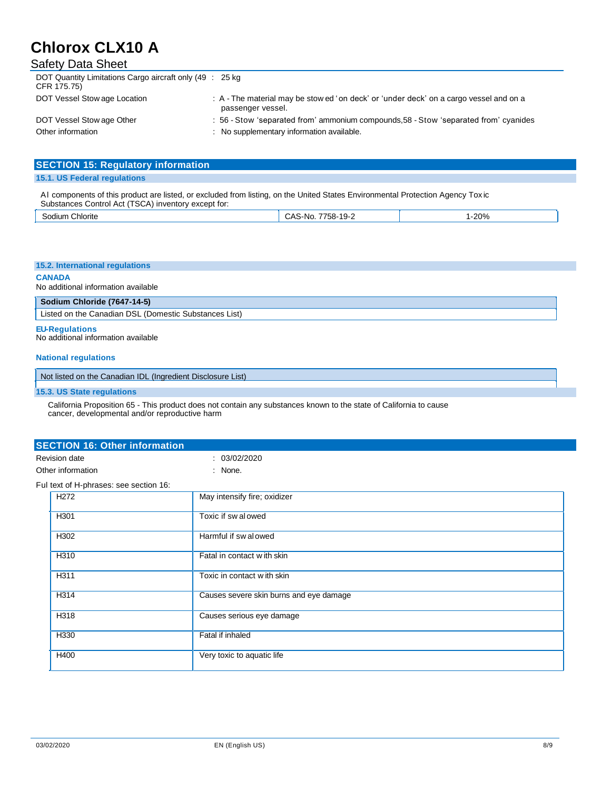| <b>Safety Data Sheet</b>                                                 |                                                                                                             |
|--------------------------------------------------------------------------|-------------------------------------------------------------------------------------------------------------|
| DOT Quantity Limitations Cargo aircraft only (49 : 25 kg)<br>CFR 175.75) |                                                                                                             |
| DOT Vessel Stow age Location                                             | : A - The material may be stow ed 'on deck' or 'under deck' on a cargo vessel and on a<br>passenger vessel. |
| DOT Vessel Stow age Other                                                | : 56 - Stow 'separated from' ammonium compounds, 58 - Stow 'separated from' cyanides                        |
| Other information                                                        | : No supplementary information available.                                                                   |

| <b>SECTION 15: Regulatory information</b> |  |
|-------------------------------------------|--|
| 15.1. US Federal regulations              |  |

Al components of this product are listed, or excluded from listing, on the United States Environmental Protection Agency Tox ic Substances Control Act (TSCA) inventory except for:

| Chlorite<br>30dium | S-NO.<br>'58-.<br>ly-<br>-43<br>-טרש<br>- | 200/<br>20 ZU |
|--------------------|-------------------------------------------|---------------|
|                    |                                           |               |

#### **15.2. International regulations**

**CANADA** 

No additional information available

| Sodium Chloride (7647-14-5)                                                                                                       |
|-----------------------------------------------------------------------------------------------------------------------------------|
| $\blacksquare$ . It is a set of the $\Omega$ is a set of $\Omega$ and $\Omega$ is $\Omega$ is the $\Omega$ is the set of $\Omega$ |

| Listed on the Canadian DSL (Domestic Substances List)

**EU-Regulations** 

No additional information available

#### **National regulations**

Not listed on the Canadian IDL (Ingredient Disclosure List)

#### **15.3. US State regulations**

California Proposition 65 - This product does not contain any substances known to the state of California to cause cancer, developmental and/or reproductive harm

| <b>Revision date</b>                   | : 03/02/2020                            |  |
|----------------------------------------|-----------------------------------------|--|
| Other information                      | : None.                                 |  |
| Ful text of H-phrases: see section 16: |                                         |  |
| H <sub>272</sub>                       | May intensify fire; oxidizer            |  |
| H301                                   | Toxic if sw alowed                      |  |
| H302                                   | Harmful if swalowed                     |  |
| H310                                   | Fatal in contact with skin              |  |
| H311                                   | Toxic in contact with skin              |  |
| H314                                   | Causes severe skin burns and eye damage |  |
| H318                                   | Causes serious eye damage               |  |
| H330                                   | Fatal if inhaled                        |  |
| H400                                   | Very toxic to aquatic life              |  |